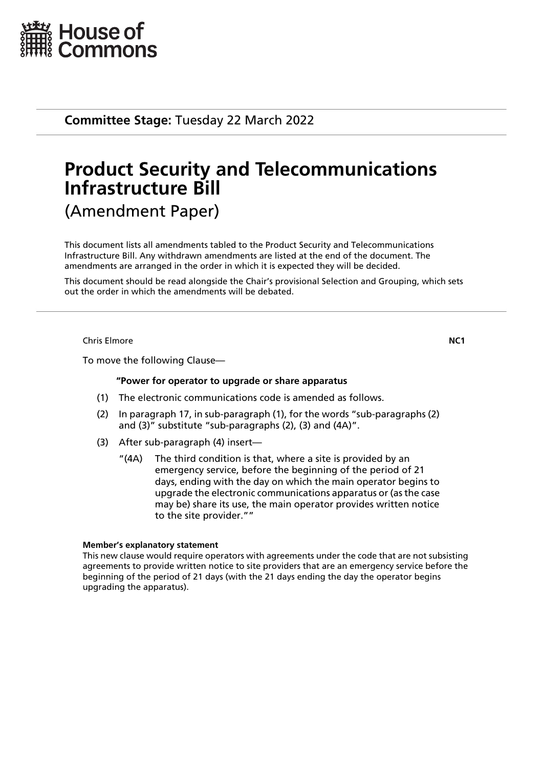

**Committee Stage:** Tuesday 22 March 2022

# **Product Security and Telecommunications Infrastructure Bill** (Amendment Paper)

This document lists all amendments tabled to the Product Security and Telecommunications Infrastructure Bill. Any withdrawn amendments are listed at the end of the document. The amendments are arranged in the order in which it is expected they will be decided.

This document should be read alongside the Chair's provisional Selection and Grouping, which sets out the order in which the amendments will be debated.

Chris Elmore **NC1**

To move the following Clause—

### **"Power for operator to upgrade or share apparatus**

- (1) The electronic communications code is amended as follows.
- (2) In paragraph 17, in sub-paragraph (1), for the words "sub-paragraphs (2) and (3)" substitute "sub-paragraphs (2), (3) and (4A)".
- (3) After sub-paragraph (4) insert—
	- "(4A) The third condition is that, where a site is provided by an emergency service, before the beginning of the period of 21 days, ending with the day on which the main operator begins to upgrade the electronic communications apparatus or (as the case may be) share its use, the main operator provides written notice to the site provider.""

### **Member's explanatory statement**

This new clause would require operators with agreements under the code that are not subsisting agreements to provide written notice to site providers that are an emergency service before the beginning of the period of 21 days (with the 21 days ending the day the operator begins upgrading the apparatus).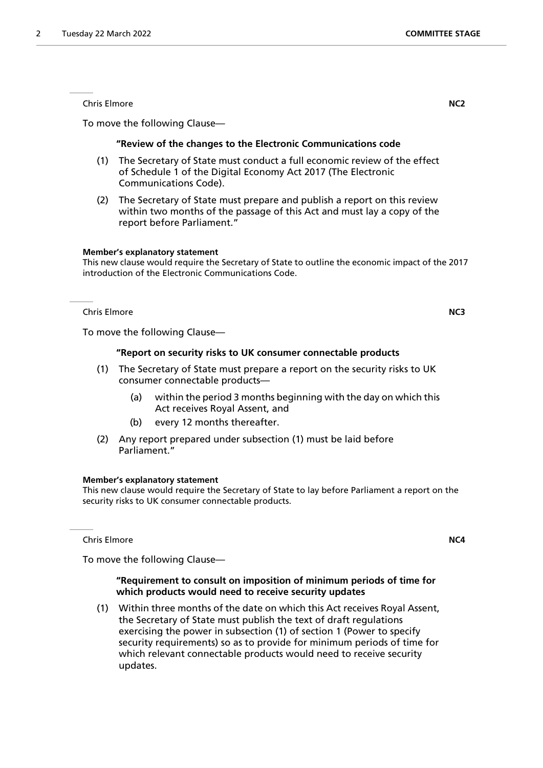Chris Elmore **NC2**

To move the following Clause—

### **"Review of the changes to the Electronic Communications code**

- (1) The Secretary of State must conduct a full economic review of the effect of Schedule 1 of the Digital Economy Act 2017 (The Electronic Communications Code).
- (2) The Secretary of State must prepare and publish a report on this review within two months of the passage of this Act and must lay a copy of the report before Parliament."

### **Member's explanatory statement**

This new clause would require the Secretary of State to outline the economic impact of the 2017 introduction of the Electronic Communications Code.

Chris Elmore **NC3**

To move the following Clause—

### **"Report on security risks to UK consumer connectable products**

- (1) The Secretary of State must prepare a report on the security risks to UK consumer connectable products—
	- (a) within the period 3 months beginning with the day on which this Act receives Royal Assent, and
	- (b) every 12 months thereafter.
- (2) Any report prepared under subsection (1) must be laid before Parliament."

### **Member's explanatory statement**

This new clause would require the Secretary of State to lay before Parliament a report on the security risks to UK consumer connectable products.

**Chris Elmore NC4** 

To move the following Clause—

### **"Requirement to consult on imposition of minimum periods of time for which products would need to receive security updates**

(1) Within three months of the date on which this Act receives Royal Assent, the Secretary of State must publish the text of draft regulations exercising the power in subsection (1) of section 1 (Power to specify security requirements) so as to provide for minimum periods of time for which relevant connectable products would need to receive security updates.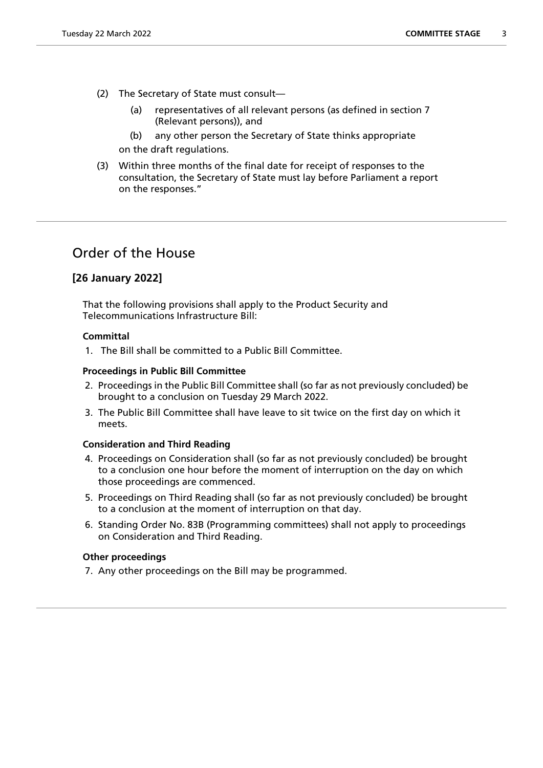- (2) The Secretary of State must consult—
	- (a) representatives of all relevant persons (as defined in section 7 (Relevant persons)), and
	- (b) any other person the Secretary of State thinks appropriate

on the draft regulations.

(3) Within three months of the final date for receipt of responses to the consultation, the Secretary of State must lay before Parliament a report on the responses."

# Order of the House

### **[26 January 2022]**

That the following provisions shall apply to the Product Security and Telecommunications Infrastructure Bill:

### **Committal**

1. The Bill shall be committed to a Public Bill Committee.

### **Proceedings in Public Bill Committee**

- 2. Proceedings in the Public Bill Committee shall (so far as not previously concluded) be brought to a conclusion on Tuesday 29 March 2022.
- 3. The Public Bill Committee shall have leave to sit twice on the first day on which it meets.

### **Consideration and Third Reading**

- 4. Proceedings on Consideration shall (so far as not previously concluded) be brought to a conclusion one hour before the moment of interruption on the day on which those proceedings are commenced.
- 5. Proceedings on Third Reading shall (so far as not previously concluded) be brought to a conclusion at the moment of interruption on that day.
- 6. Standing Order No. 83B (Programming committees) shall not apply to proceedings on Consideration and Third Reading.

### **Other proceedings**

7. Any other proceedings on the Bill may be programmed.